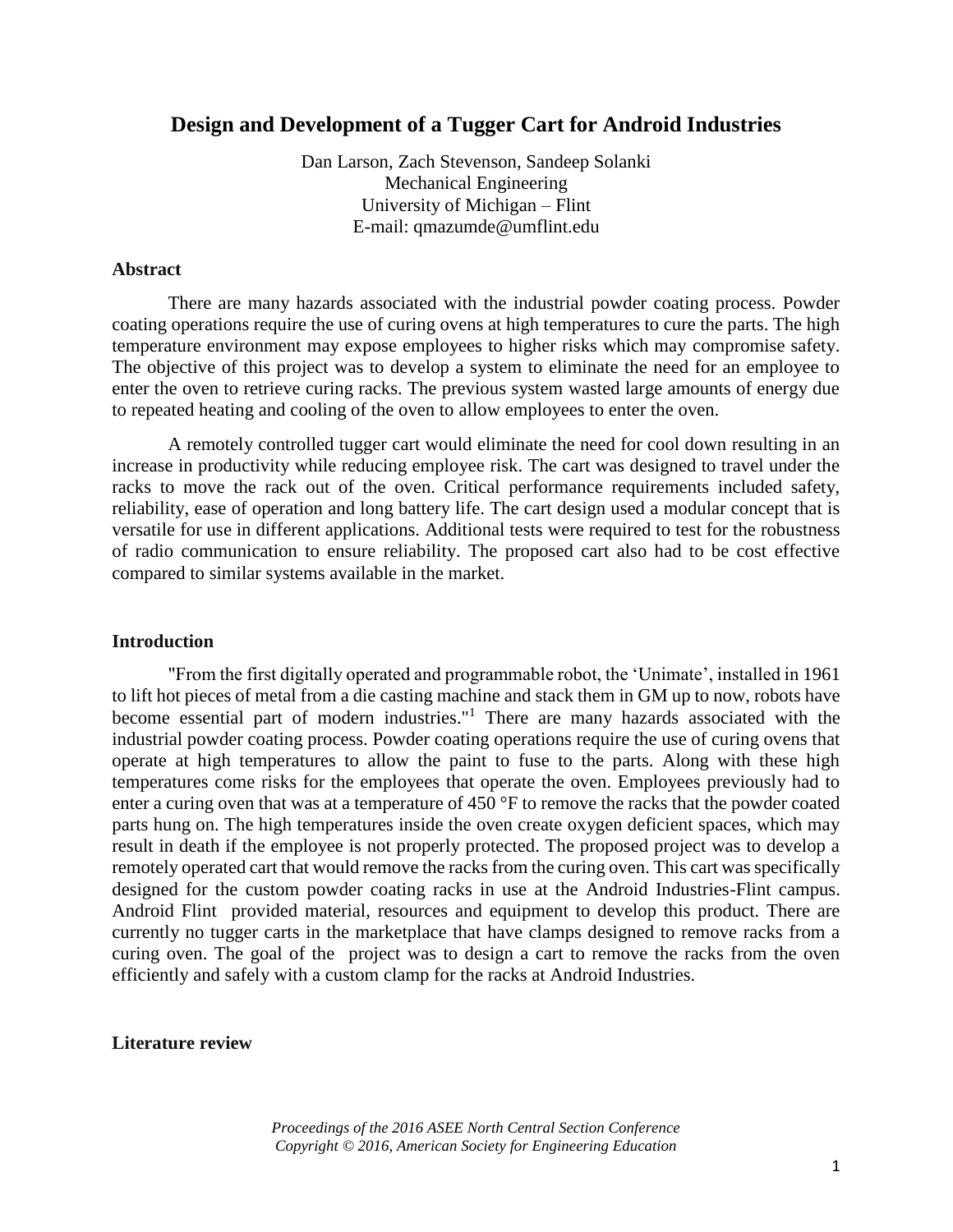# **Design and Development of a Tugger Cart for Android Industries**

Dan Larson, Zach Stevenson, Sandeep Solanki Mechanical Engineering University of Michigan – Flint E-mail: qmazumde@umflint.edu

## **Abstract**

There are many hazards associated with the industrial powder coating process. Powder coating operations require the use of curing ovens at high temperatures to cure the parts. The high temperature environment may expose employees to higher risks which may compromise safety. The objective of this project was to develop a system to eliminate the need for an employee to enter the oven to retrieve curing racks. The previous system wasted large amounts of energy due to repeated heating and cooling of the oven to allow employees to enter the oven.

A remotely controlled tugger cart would eliminate the need for cool down resulting in an increase in productivity while reducing employee risk. The cart was designed to travel under the racks to move the rack out of the oven. Critical performance requirements included safety, reliability, ease of operation and long battery life. The cart design used a modular concept that is versatile for use in different applications. Additional tests were required to test for the robustness of radio communication to ensure reliability. The proposed cart also had to be cost effective compared to similar systems available in the market.

#### **Introduction**

"From the first digitally operated and programmable robot, the 'Unimate', installed in 1961 to lift hot pieces of metal from a die casting machine and stack them in GM up to now, robots have become essential part of modern industries."<sup>1</sup> There are many hazards associated with the industrial powder coating process. Powder coating operations require the use of curing ovens that operate at high temperatures to allow the paint to fuse to the parts. Along with these high temperatures come risks for the employees that operate the oven. Employees previously had to enter a curing oven that was at a temperature of 450 °F to remove the racks that the powder coated parts hung on. The high temperatures inside the oven create oxygen deficient spaces, which may result in death if the employee is not properly protected. The proposed project was to develop a remotely operated cart that would remove the racks from the curing oven. This cart was specifically designed for the custom powder coating racks in use at the Android Industries-Flint campus. Android Flint provided material, resources and equipment to develop this product. There are currently no tugger carts in the marketplace that have clamps designed to remove racks from a curing oven. The goal of the project was to design a cart to remove the racks from the oven efficiently and safely with a custom clamp for the racks at Android Industries.

# **Literature review**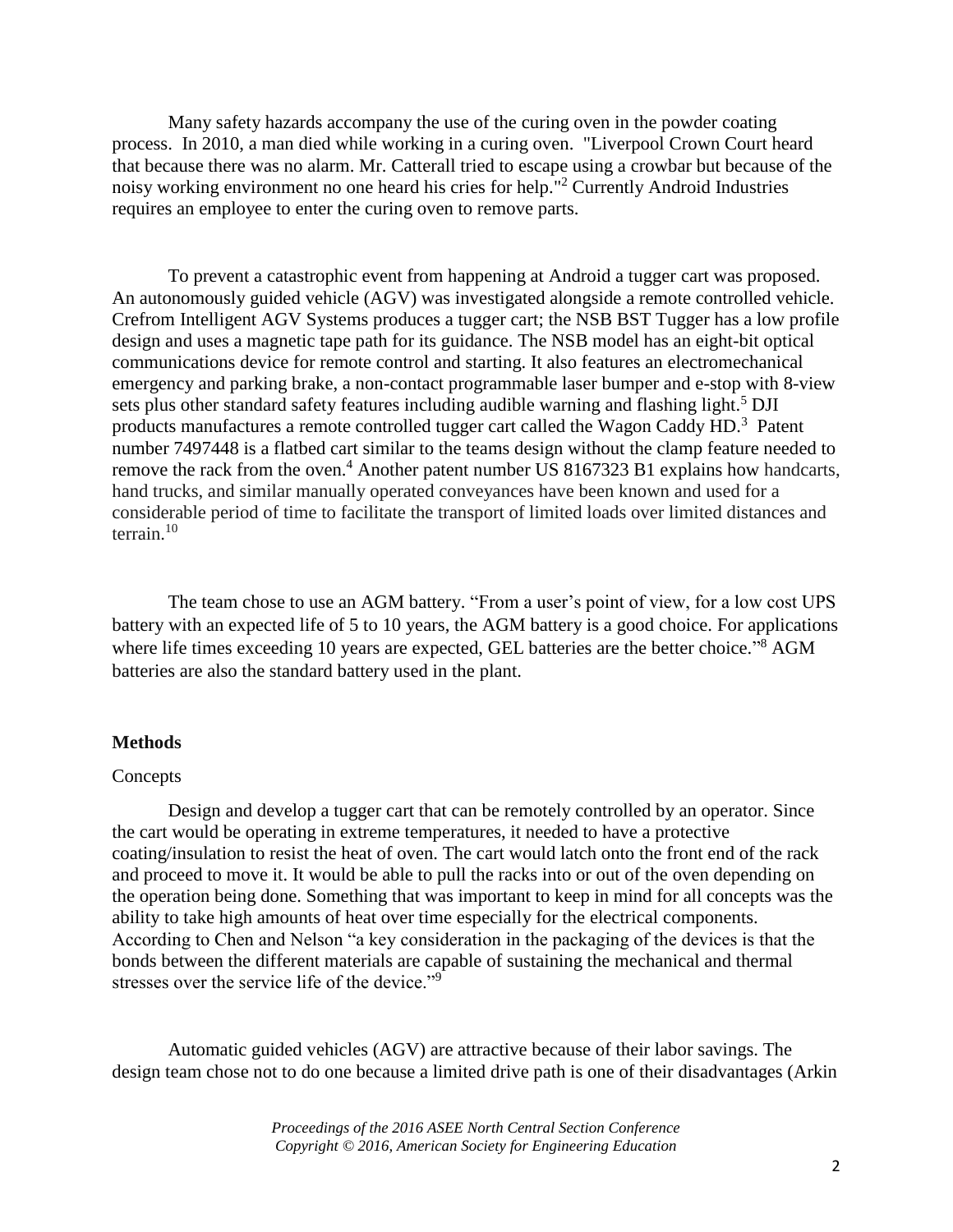Many safety hazards accompany the use of the curing oven in the powder coating process. In 2010, a man died while working in a curing oven. "Liverpool Crown Court heard that because there was no alarm. Mr. Catterall tried to escape using a crowbar but because of the noisy working environment no one heard his cries for help."<sup>2</sup> Currently Android Industries requires an employee to enter the curing oven to remove parts.

To prevent a catastrophic event from happening at Android a tugger cart was proposed. An autonomously guided vehicle (AGV) was investigated alongside a remote controlled vehicle. Crefrom Intelligent AGV Systems produces a tugger cart; the NSB BST Tugger has a low profile design and uses a magnetic tape path for its guidance. The NSB model has an eight-bit optical communications device for remote control and starting. It also features an electromechanical emergency and parking brake, a non-contact programmable laser bumper and e-stop with 8-view sets plus other standard safety features including audible warning and flashing light.<sup>5</sup> DJI products manufactures a remote controlled tugger cart called the Wagon Caddy HD.<sup>3</sup> Patent number 7497448 is a flatbed cart similar to the teams design without the clamp feature needed to remove the rack from the oven.<sup>4</sup> Another patent number US 8167323 B1 explains how handcarts, hand trucks, and similar manually operated conveyances have been known and used for a considerable period of time to facilitate the transport of limited loads over limited distances and terrain.<sup>10</sup>

The team chose to use an AGM battery. "From a user's point of view, for a low cost UPS battery with an expected life of 5 to 10 years, the AGM battery is a good choice. For applications where life times exceeding 10 years are expected, GEL batteries are the better choice."<sup>8</sup> AGM batteries are also the standard battery used in the plant.

## **Methods**

#### Concepts

Design and develop a tugger cart that can be remotely controlled by an operator. Since the cart would be operating in extreme temperatures, it needed to have a protective coating/insulation to resist the heat of oven. The cart would latch onto the front end of the rack and proceed to move it. It would be able to pull the racks into or out of the oven depending on the operation being done. Something that was important to keep in mind for all concepts was the ability to take high amounts of heat over time especially for the electrical components. According to Chen and Nelson "a key consideration in the packaging of the devices is that the bonds between the different materials are capable of sustaining the mechanical and thermal stresses over the service life of the device."<sup>9</sup>

Automatic guided vehicles (AGV) are attractive because of their labor savings. The design team chose not to do one because a limited drive path is one of their disadvantages (Arkin

> *Proceedings of the 2016 ASEE North Central Section Conference Copyright © 2016, American Society for Engineering Education*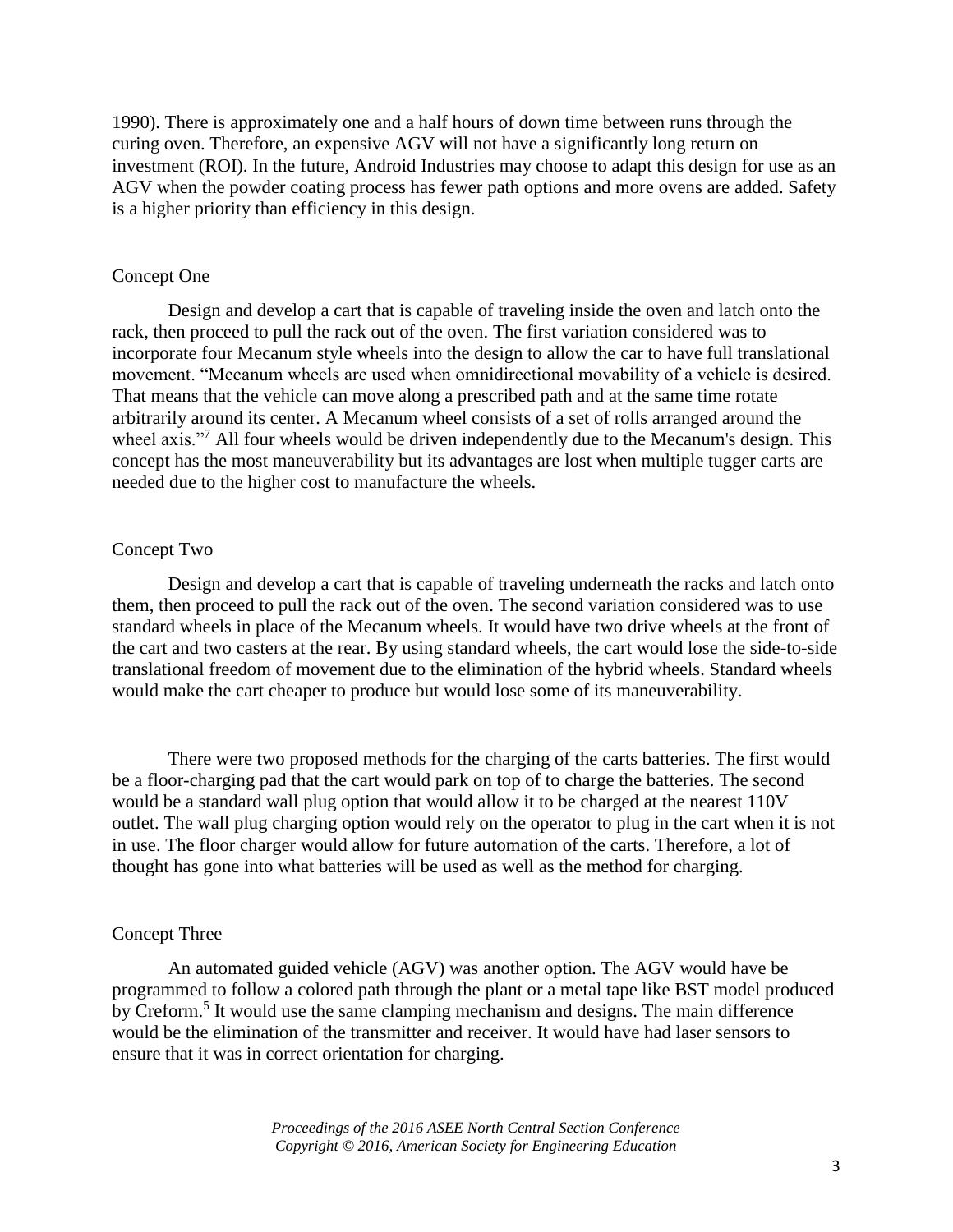1990). There is approximately one and a half hours of down time between runs through the curing oven. Therefore, an expensive AGV will not have a significantly long return on investment (ROI). In the future, Android Industries may choose to adapt this design for use as an AGV when the powder coating process has fewer path options and more ovens are added. Safety is a higher priority than efficiency in this design.

## Concept One

Design and develop a cart that is capable of traveling inside the oven and latch onto the rack, then proceed to pull the rack out of the oven. The first variation considered was to incorporate four Mecanum style wheels into the design to allow the car to have full translational movement. "Mecanum wheels are used when omnidirectional movability of a vehicle is desired. That means that the vehicle can move along a prescribed path and at the same time rotate arbitrarily around its center. A Mecanum wheel consists of a set of rolls arranged around the wheel axis."<sup>7</sup> All four wheels would be driven independently due to the Mecanum's design. This concept has the most maneuverability but its advantages are lost when multiple tugger carts are needed due to the higher cost to manufacture the wheels.

# Concept Two

Design and develop a cart that is capable of traveling underneath the racks and latch onto them, then proceed to pull the rack out of the oven. The second variation considered was to use standard wheels in place of the Mecanum wheels. It would have two drive wheels at the front of the cart and two casters at the rear. By using standard wheels, the cart would lose the side-to-side translational freedom of movement due to the elimination of the hybrid wheels. Standard wheels would make the cart cheaper to produce but would lose some of its maneuverability.

There were two proposed methods for the charging of the carts batteries. The first would be a floor-charging pad that the cart would park on top of to charge the batteries. The second would be a standard wall plug option that would allow it to be charged at the nearest 110V outlet. The wall plug charging option would rely on the operator to plug in the cart when it is not in use. The floor charger would allow for future automation of the carts. Therefore, a lot of thought has gone into what batteries will be used as well as the method for charging.

# Concept Three

An automated guided vehicle (AGV) was another option. The AGV would have be programmed to follow a colored path through the plant or a metal tape like BST model produced by Creform.<sup>5</sup> It would use the same clamping mechanism and designs. The main difference would be the elimination of the transmitter and receiver. It would have had laser sensors to ensure that it was in correct orientation for charging.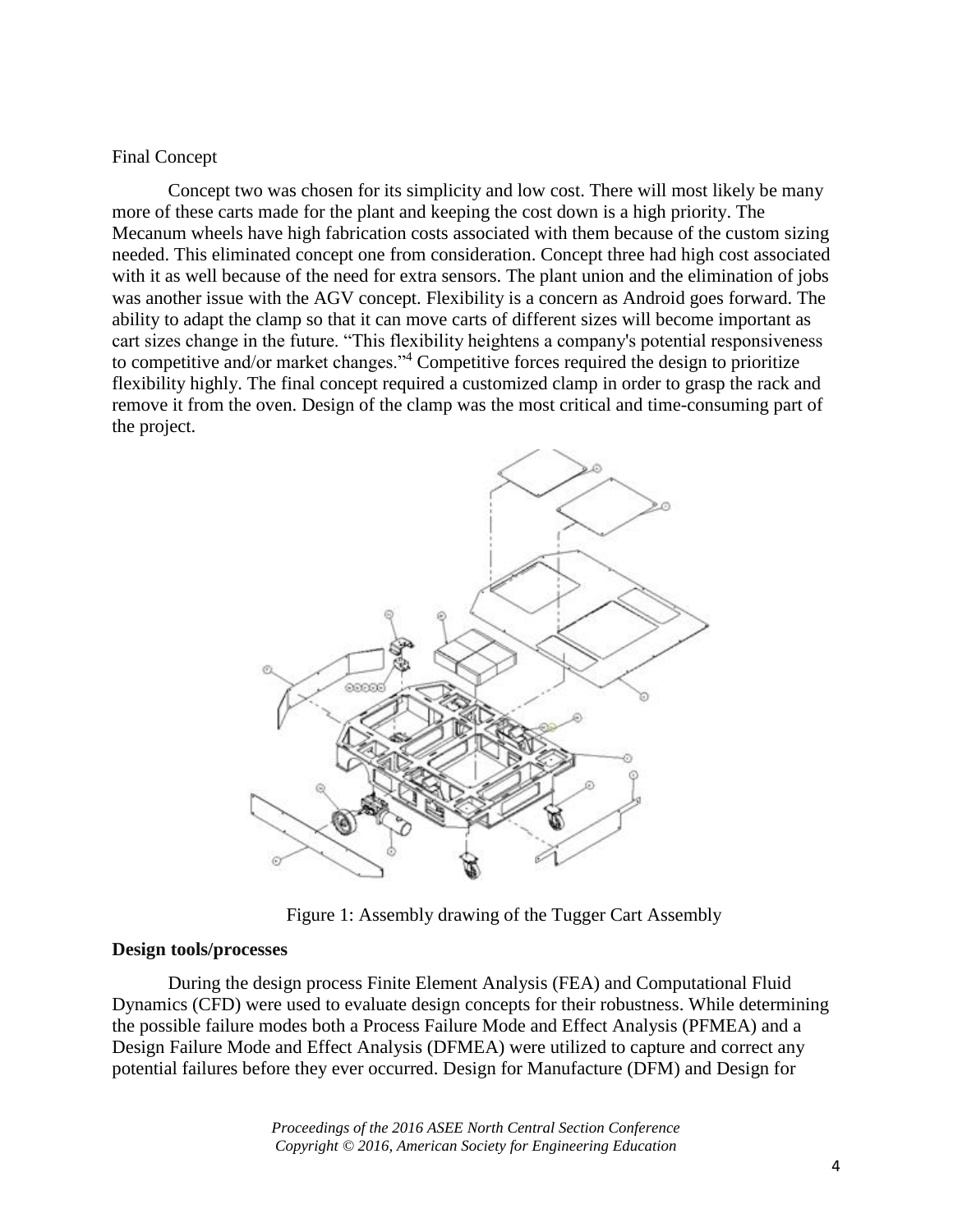Final Concept

Concept two was chosen for its simplicity and low cost. There will most likely be many more of these carts made for the plant and keeping the cost down is a high priority. The Mecanum wheels have high fabrication costs associated with them because of the custom sizing needed. This eliminated concept one from consideration. Concept three had high cost associated with it as well because of the need for extra sensors. The plant union and the elimination of jobs was another issue with the AGV concept. Flexibility is a concern as Android goes forward. The ability to adapt the clamp so that it can move carts of different sizes will become important as cart sizes change in the future. "This flexibility heightens a company's potential responsiveness to competitive and/or market changes."<sup>4</sup> Competitive forces required the design to prioritize flexibility highly. The final concept required a customized clamp in order to grasp the rack and remove it from the oven. Design of the clamp was the most critical and time-consuming part of the project.



Figure 1: Assembly drawing of the Tugger Cart Assembly

# **Design tools/processes**

During the design process Finite Element Analysis (FEA) and Computational Fluid Dynamics (CFD) were used to evaluate design concepts for their robustness. While determining the possible failure modes both a Process Failure Mode and Effect Analysis (PFMEA) and a Design Failure Mode and Effect Analysis (DFMEA) were utilized to capture and correct any potential failures before they ever occurred. Design for Manufacture (DFM) and Design for

> *Proceedings of the 2016 ASEE North Central Section Conference Copyright © 2016, American Society for Engineering Education*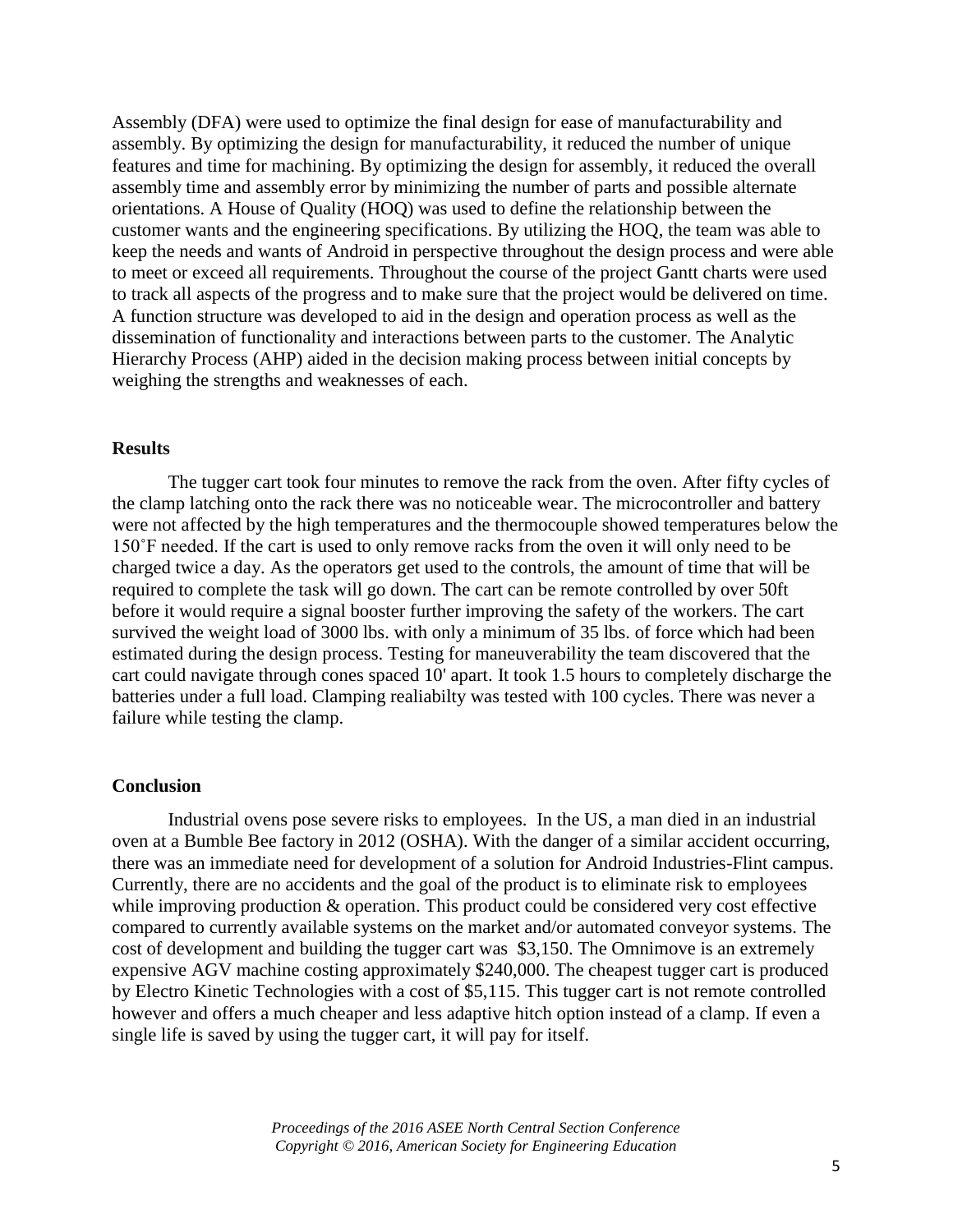Assembly (DFA) were used to optimize the final design for ease of manufacturability and assembly. By optimizing the design for manufacturability, it reduced the number of unique features and time for machining. By optimizing the design for assembly, it reduced the overall assembly time and assembly error by minimizing the number of parts and possible alternate orientations. A House of Quality (HOQ) was used to define the relationship between the customer wants and the engineering specifications. By utilizing the HOQ, the team was able to keep the needs and wants of Android in perspective throughout the design process and were able to meet or exceed all requirements. Throughout the course of the project Gantt charts were used to track all aspects of the progress and to make sure that the project would be delivered on time. A function structure was developed to aid in the design and operation process as well as the dissemination of functionality and interactions between parts to the customer. The Analytic Hierarchy Process (AHP) aided in the decision making process between initial concepts by weighing the strengths and weaknesses of each.

# **Results**

The tugger cart took four minutes to remove the rack from the oven. After fifty cycles of the clamp latching onto the rack there was no noticeable wear. The microcontroller and battery were not affected by the high temperatures and the thermocouple showed temperatures below the 150˚F needed. If the cart is used to only remove racks from the oven it will only need to be charged twice a day. As the operators get used to the controls, the amount of time that will be required to complete the task will go down. The cart can be remote controlled by over 50ft before it would require a signal booster further improving the safety of the workers. The cart survived the weight load of 3000 lbs. with only a minimum of 35 lbs. of force which had been estimated during the design process. Testing for maneuverability the team discovered that the cart could navigate through cones spaced 10' apart. It took 1.5 hours to completely discharge the batteries under a full load. Clamping realiabilty was tested with 100 cycles. There was never a failure while testing the clamp.

# **Conclusion**

Industrial ovens pose severe risks to employees. In the US, a man died in an industrial oven at a Bumble Bee factory in 2012 (OSHA). With the danger of a similar accident occurring, there was an immediate need for development of a solution for Android Industries-Flint campus. Currently, there are no accidents and the goal of the product is to eliminate risk to employees while improving production & operation. This product could be considered very cost effective compared to currently available systems on the market and/or automated conveyor systems. The cost of development and building the tugger cart was \$3,150. The Omnimove is an extremely expensive AGV machine costing approximately \$240,000. The cheapest tugger cart is produced by Electro Kinetic Technologies with a cost of \$5,115. This tugger cart is not remote controlled however and offers a much cheaper and less adaptive hitch option instead of a clamp. If even a single life is saved by using the tugger cart, it will pay for itself.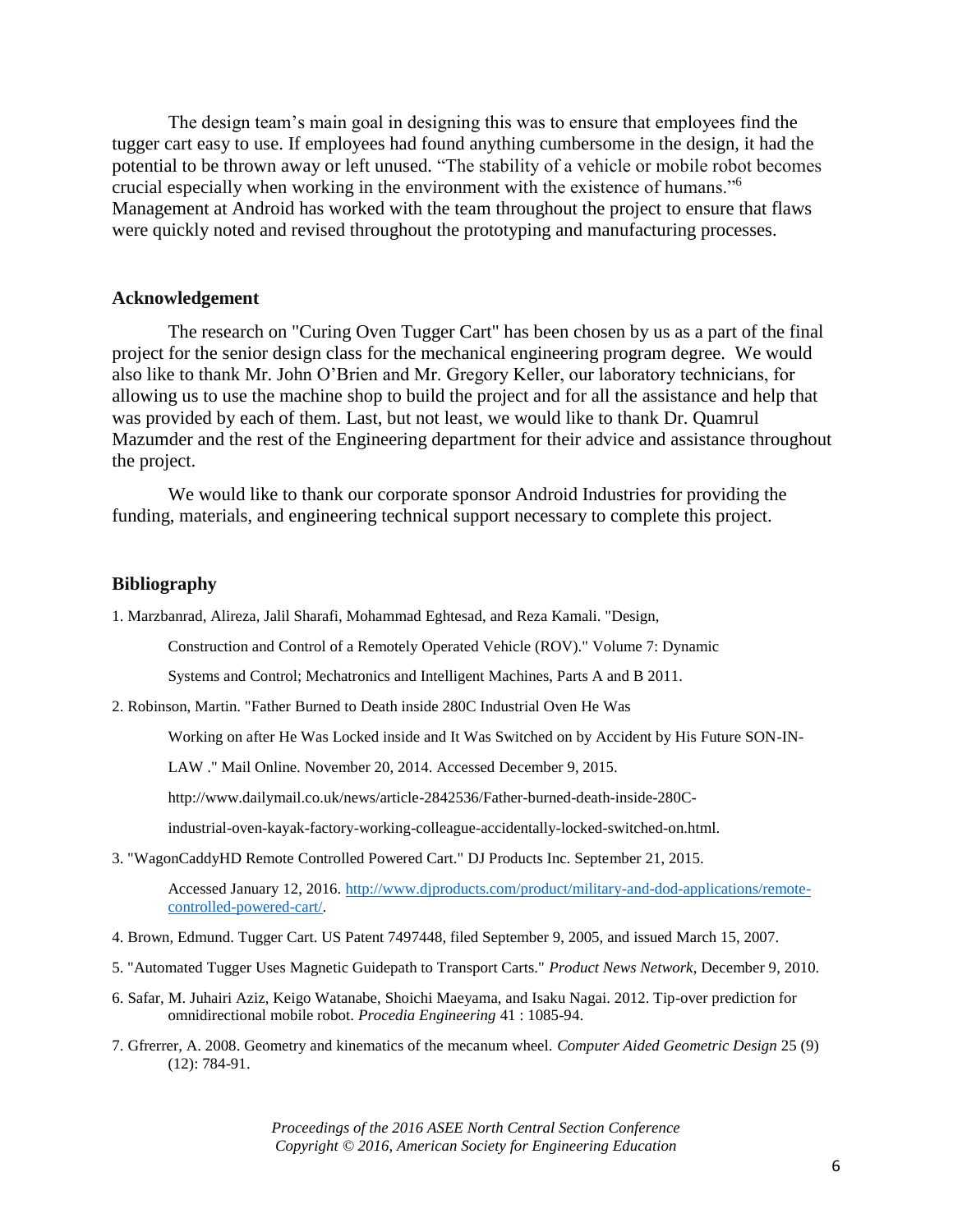The design team's main goal in designing this was to ensure that employees find the tugger cart easy to use. If employees had found anything cumbersome in the design, it had the potential to be thrown away or left unused. "The stability of a vehicle or mobile robot becomes crucial especially when working in the environment with the existence of humans."<sup>6</sup> Management at Android has worked with the team throughout the project to ensure that flaws were quickly noted and revised throughout the prototyping and manufacturing processes.

# **Acknowledgement**

The research on "Curing Oven Tugger Cart" has been chosen by us as a part of the final project for the senior design class for the mechanical engineering program degree. We would also like to thank Mr. John O'Brien and Mr. Gregory Keller, our laboratory technicians, for allowing us to use the machine shop to build the project and for all the assistance and help that was provided by each of them. Last, but not least, we would like to thank Dr. Quamrul Mazumder and the rest of the Engineering department for their advice and assistance throughout the project.

We would like to thank our corporate sponsor Android Industries for providing the funding, materials, and engineering technical support necessary to complete this project.

#### **Bibliography**

1. Marzbanrad, Alireza, Jalil Sharafi, Mohammad Eghtesad, and Reza Kamali. "Design,

Construction and Control of a Remotely Operated Vehicle (ROV)." Volume 7: Dynamic

Systems and Control; Mechatronics and Intelligent Machines, Parts A and B 2011.

2. Robinson, Martin. "Father Burned to Death inside 280C Industrial Oven He Was

Working on after He Was Locked inside and It Was Switched on by Accident by His Future SON-IN-

LAW ." Mail Online. November 20, 2014. Accessed December 9, 2015.

http://www.dailymail.co.uk/news/article-2842536/Father-burned-death-inside-280C-

industrial-oven-kayak-factory-working-colleague-accidentally-locked-switched-on.html.

3. "WagonCaddyHD Remote Controlled Powered Cart." DJ Products Inc. September 21, 2015.

Accessed January 12, 2016. [http://www.djproducts.com/product/military-and-dod-applications/remote](http://www.djproducts.com/product/military-and-dod-applications/remote-controlled-powered-cart/)[controlled-powered-cart/.](http://www.djproducts.com/product/military-and-dod-applications/remote-controlled-powered-cart/) 

- 4. Brown, Edmund. Tugger Cart. US Patent 7497448, filed September 9, 2005, and issued March 15, 2007.
- 5. "Automated Tugger Uses Magnetic Guidepath to Transport Carts." *Product News Network*, December 9, 2010.
- 6. Safar, M. Juhairi Aziz, Keigo Watanabe, Shoichi Maeyama, and Isaku Nagai. 2012. Tip-over prediction for omnidirectional mobile robot. *Procedia Engineering* 41 : 1085-94.
- 7. Gfrerrer, A. 2008. Geometry and kinematics of the mecanum wheel. *Computer Aided Geometric Design* 25 (9) (12): 784-91.

*Proceedings of the 2016 ASEE North Central Section Conference Copyright © 2016, American Society for Engineering Education*